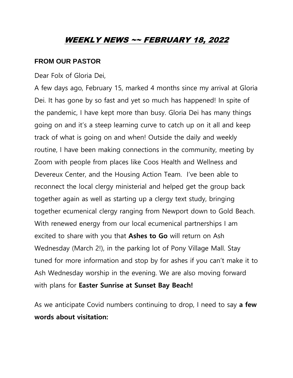## WEEKLY NEWS ~~ FEBRUARY 18, 2022

## **FROM OUR PASTOR**

Dear Folx of Gloria Dei,

A few days ago, February 15, marked 4 months since my arrival at Gloria Dei. It has gone by so fast and yet so much has happened! In spite of the pandemic, I have kept more than busy. Gloria Dei has many things going on and it's a steep learning curve to catch up on it all and keep track of what is going on and when! Outside the daily and weekly routine, I have been making connections in the community, meeting by Zoom with people from places like Coos Health and Wellness and Devereux Center, and the Housing Action Team. I've been able to reconnect the local clergy ministerial and helped get the group back together again as well as starting up a clergy text study, bringing together ecumenical clergy ranging from Newport down to Gold Beach. With renewed energy from our local ecumenical partnerships I am excited to share with you that **Ashes to Go** will return on Ash Wednesday (March 2!), in the parking lot of Pony Village Mall. Stay tuned for more information and stop by for ashes if you can't make it to Ash Wednesday worship in the evening. We are also moving forward with plans for **Easter Sunrise at Sunset Bay Beach!**

As we anticipate Covid numbers continuing to drop, I need to say **a few words about visitation:**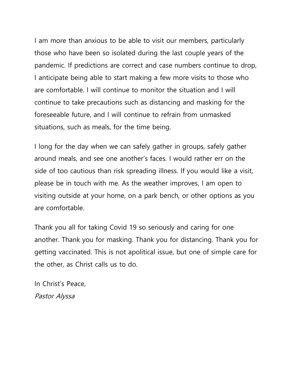I am more than anxious to be able to visit our members, particularly those who have been so isolated during the last couple years of the pandemic. If predictions are correct and case numbers continue to drop, I anticipate being able to start making a few more visits to those who are comfortable. I will continue to monitor the situation and I will continue to take precautions such as distancing and masking for the foreseeable future, and I will continue to refrain from unmasked situations, such as meals, for the time being.

I long for the day when we can safely gather in groups, safely gather around meals, and see one another's faces. I would rather err on the side of too cautious than risk spreading illness. If you would like a visit, please be in touch with me. As the weather improves, I am open to visiting outside at your home, on a park bench, or other options as you are comfortable.

Thank you all for taking Covid 19 so seriously and caring for one another. Thank you for masking. Thank you for distancing. Thank you for getting vaccinated. This is not apolitical issue, but one of simple care for the other, as Christ calls us to do.

In Christ's Peace, Pastor Alyssa